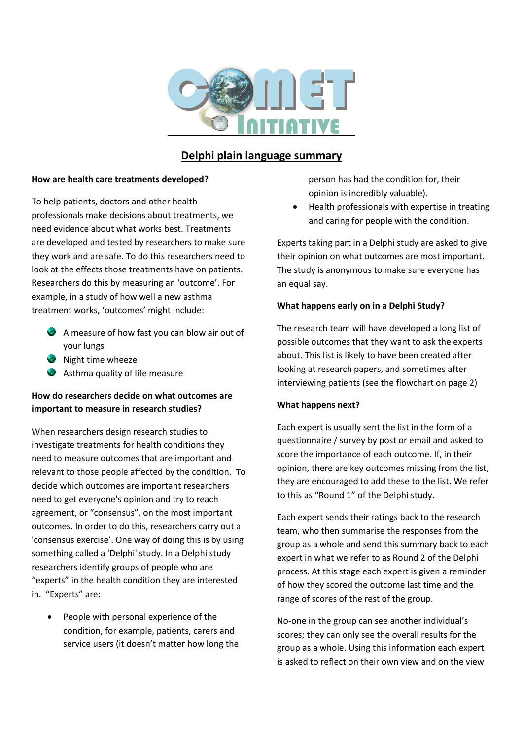

## **Delphi plain language summary**

#### **How are health care treatments developed?**

To help patients, doctors and other health professionals make decisions about treatments, we need evidence about what works best. Treatments are developed and tested by researchers to make sure they work and are safe. To do this researchers need to look at the effects those treatments have on patients. Researchers do this by measuring an 'outcome'. For example, in a study of how well a new asthma treatment works, 'outcomes' might include:

- A measure of how fast you can blow air out of your lungs
- Night time wheeze
- Asthma quality of life measure

## **How do researchers decide on what outcomes are important to measure in research studies?**

When researchers design research studies to investigate treatments for health conditions they need to measure outcomes that are important and relevant to those people affected by the condition. To decide which outcomes are important researchers need to get everyone's opinion and try to reach agreement, or "consensus", on the most important outcomes. In order to do this, researchers carry out a 'consensus exercise'. One way of doing this is by using something called a 'Delphi' study. In a Delphi study researchers identify groups of people who are "experts" in the health condition they are interested in. "Experts" are:

 People with personal experience of the condition, for example, patients, carers and service users (it doesn't matter how long the person has had the condition for, their opinion is incredibly valuable).

 Health professionals with expertise in treating and caring for people with the condition.

Experts taking part in a Delphi study are asked to give their opinion on what outcomes are most important. The study is anonymous to make sure everyone has an equal say.

### **What happens early on in a Delphi Study?**

The research team will have developed a long list of possible outcomes that they want to ask the experts about. This list is likely to have been created after looking at research papers, and sometimes after interviewing patients (see the flowchart on page 2)

#### **What happens next?**

Each expert is usually sent the list in the form of a questionnaire / survey by post or email and asked to score the importance of each outcome. If, in their opinion, there are key outcomes missing from the list, they are encouraged to add these to the list. We refer to this as "Round 1" of the Delphi study.

Each expert sends their ratings back to the research team, who then summarise the responses from the group as a whole and send this summary back to each expert in what we refer to as Round 2 of the Delphi process. At this stage each expert is given a reminder of how they scored the outcome last time and the range of scores of the rest of the group.

No-one in the group can see another individual's scores; they can only see the overall results for the group as a whole. Using this information each expert is asked to reflect on their own view and on the view